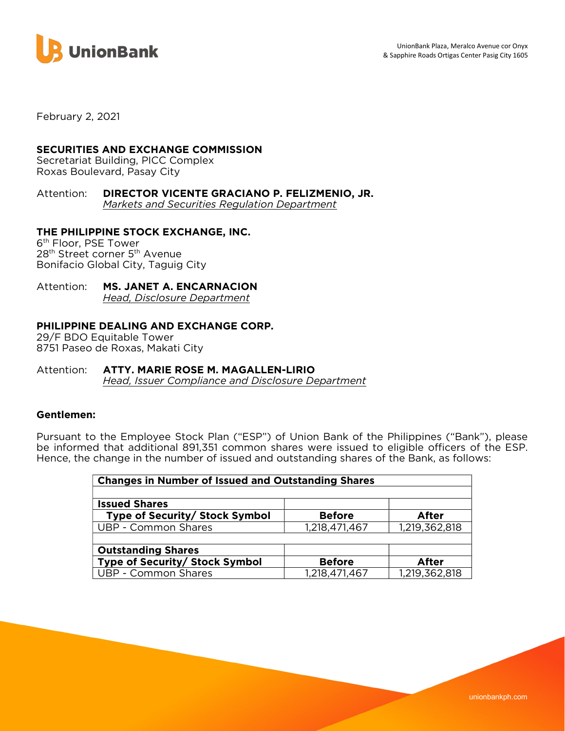

February 2, 2021

# SECURITIES AND EXCHANGE COMMISSION

Secretariat Building, PICC Complex Roxas Boulevard, Pasay City

Attention: DIRECTOR VICENTE GRACIANO P. FELIZMENIO, JR. Markets and Securities Regulation Department

# THE PHILIPPINE STOCK EXCHANGE, INC.

6 th Floor, PSE Tower 28<sup>th</sup> Street corner 5<sup>th</sup> Avenue Bonifacio Global City, Taguig City

### Attention: MS. JANET A. ENCARNACION Head, Disclosure Department

## PHILIPPINE DEALING AND EXCHANGE CORP.

29/F BDO Equitable Tower 8751 Paseo de Roxas, Makati City

#### Attention: ATTY. MARIE ROSE M. MAGALLEN-LIRIO Head, Issuer Compliance and Disclosure Department

### Gentlemen:

Pursuant to the Employee Stock Plan ("ESP") of Union Bank of the Philippines ("Bank"), please be informed that additional 891,351 common shares were issued to eligible officers of the ESP. Hence, the change in the number of issued and outstanding shares of the Bank, as follows:

| <b>Changes in Number of Issued and Outstanding Shares</b> |               |               |  |
|-----------------------------------------------------------|---------------|---------------|--|
|                                                           |               |               |  |
| <b>Issued Shares</b>                                      |               |               |  |
| Type of Security/ Stock Symbol                            | <b>Before</b> | After         |  |
| UBP - Common Shares                                       | 1,218,471,467 | 1,219,362,818 |  |
|                                                           |               |               |  |
| <b>Outstanding Shares</b>                                 |               |               |  |
| Type of Security/ Stock Symbol                            | <b>Before</b> | After         |  |
| UBP - Common Shares                                       | 1,218,471,467 | 1,219,362,818 |  |